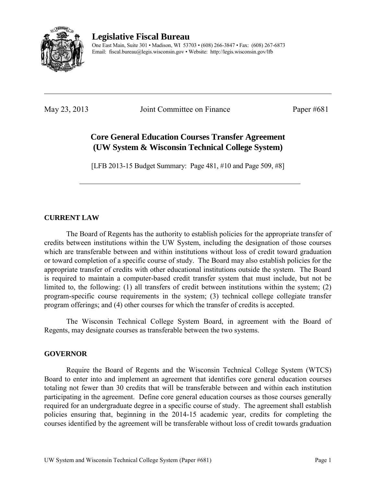

**Legislative Fiscal Bureau** 

One East Main, Suite 301 • Madison, WI 53703 • (608) 266-3847 • Fax: (608) 267-6873 Email: fiscal.bureau@legis.wisconsin.gov • Website:<http://legis.wisconsin.gov/lfb>

May 23, 2013 Joint Committee on Finance Paper #681

# **Core General Education Courses Transfer Agreement (UW System & Wisconsin Technical College System)**

[LFB 2013-15 Budget Summary: Page 481, #10 and Page 509, #8]

## **CURRENT LAW**

 The Board of Regents has the authority to establish policies for the appropriate transfer of credits between institutions within the UW System, including the designation of those courses which are transferable between and within institutions without loss of credit toward graduation or toward completion of a specific course of study. The Board may also establish policies for the appropriate transfer of credits with other educational institutions outside the system. The Board is required to maintain a computer-based credit transfer system that must include, but not be limited to, the following: (1) all transfers of credit between institutions within the system; (2) program-specific course requirements in the system; (3) technical college collegiate transfer program offerings; and (4) other courses for which the transfer of credits is accepted.

 The Wisconsin Technical College System Board, in agreement with the Board of Regents, may designate courses as transferable between the two systems.

### **GOVERNOR**

 Require the Board of Regents and the Wisconsin Technical College System (WTCS) Board to enter into and implement an agreement that identifies core general education courses totaling not fewer than 30 credits that will be transferable between and within each institution participating in the agreement. Define core general education courses as those courses generally required for an undergraduate degree in a specific course of study. The agreement shall establish policies ensuring that, beginning in the 2014-15 academic year, credits for completing the courses identified by the agreement will be transferable without loss of credit towards graduation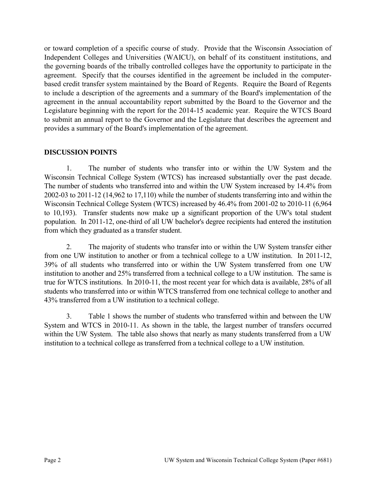or toward completion of a specific course of study. Provide that the Wisconsin Association of Independent Colleges and Universities (WAICU), on behalf of its constituent institutions, and the governing boards of the tribally controlled colleges have the opportunity to participate in the agreement. Specify that the courses identified in the agreement be included in the computerbased credit transfer system maintained by the Board of Regents. Require the Board of Regents to include a description of the agreements and a summary of the Board's implementation of the agreement in the annual accountability report submitted by the Board to the Governor and the Legislature beginning with the report for the 2014-15 academic year. Require the WTCS Board to submit an annual report to the Governor and the Legislature that describes the agreement and provides a summary of the Board's implementation of the agreement.

#### **DISCUSSION POINTS**

1. The number of students who transfer into or within the UW System and the Wisconsin Technical College System (WTCS) has increased substantially over the past decade. The number of students who transferred into and within the UW System increased by 14.4% from 2002-03 to 2011-12 (14,962 to 17,110) while the number of students transferring into and within the Wisconsin Technical College System (WTCS) increased by 46.4% from 2001-02 to 2010-11 (6,964 to 10,193). Transfer students now make up a significant proportion of the UW's total student population. In 2011-12, one-third of all UW bachelor's degree recipients had entered the institution from which they graduated as a transfer student.

2. The majority of students who transfer into or within the UW System transfer either from one UW institution to another or from a technical college to a UW institution. In 2011-12, 39% of all students who transferred into or within the UW System transferred from one UW institution to another and 25% transferred from a technical college to a UW institution. The same is true for WTCS institutions. In 2010-11, the most recent year for which data is available, 28% of all students who transferred into or within WTCS transferred from one technical college to another and 43% transferred from a UW institution to a technical college.

3. Table 1 shows the number of students who transferred within and between the UW System and WTCS in 2010-11. As shown in the table, the largest number of transfers occurred within the UW System. The table also shows that nearly as many students transferred from a UW institution to a technical college as transferred from a technical college to a UW institution.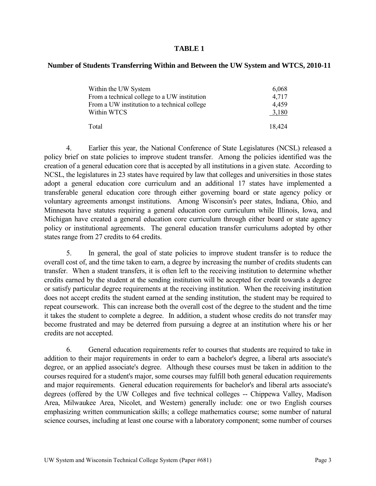#### **TABLE 1**

#### **Number of Students Transferring Within and Between the UW System and WTCS, 2010-11**

| Within the UW System                         | 6,068  |
|----------------------------------------------|--------|
| From a technical college to a UW institution | 4,717  |
| From a UW institution to a technical college | 4,459  |
| Within WTCS                                  | 3,180  |
| Total                                        | 18,424 |

4. Earlier this year, the National Conference of State Legislatures (NCSL) released a policy brief on state policies to improve student transfer. Among the policies identified was the creation of a general education core that is accepted by all institutions in a given state. According to NCSL, the legislatures in 23 states have required by law that colleges and universities in those states adopt a general education core curriculum and an additional 17 states have implemented a transferable general education core through either governing board or state agency policy or voluntary agreements amongst institutions. Among Wisconsin's peer states, Indiana, Ohio, and Minnesota have statutes requiring a general education core curriculum while Illinois, Iowa, and Michigan have created a general education core curriculum through either board or state agency policy or institutional agreements. The general education transfer curriculums adopted by other states range from 27 credits to 64 credits.

5. In general, the goal of state policies to improve student transfer is to reduce the overall cost of, and the time taken to earn, a degree by increasing the number of credits students can transfer. When a student transfers, it is often left to the receiving institution to determine whether credits earned by the student at the sending institution will be accepted for credit towards a degree or satisfy particular degree requirements at the receiving institution. When the receiving institution does not accept credits the student earned at the sending institution, the student may be required to repeat coursework. This can increase both the overall cost of the degree to the student and the time it takes the student to complete a degree. In addition, a student whose credits do not transfer may become frustrated and may be deterred from pursuing a degree at an institution where his or her credits are not accepted.

6. General education requirements refer to courses that students are required to take in addition to their major requirements in order to earn a bachelor's degree, a liberal arts associate's degree, or an applied associate's degree. Although these courses must be taken in addition to the courses required for a student's major, some courses may fulfill both general education requirements and major requirements. General education requirements for bachelor's and liberal arts associate's degrees (offered by the UW Colleges and five technical colleges -- Chippewa Valley, Madison Area, Milwaukee Area, Nicolet, and Western) generally include: one or two English courses emphasizing written communication skills; a college mathematics course; some number of natural science courses, including at least one course with a laboratory component; some number of courses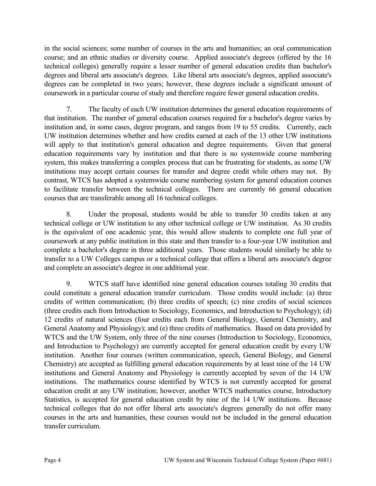in the social sciences; some number of courses in the arts and humanities; an oral communication course; and an ethnic studies or diversity course. Applied associate's degrees (offered by the 16 technical colleges) generally require a lesser number of general education credits than bachelor's degrees and liberal arts associate's degrees. Like liberal arts associate's degrees, applied associate's degrees can be completed in two years; however, these degrees include a significant amount of coursework in a particular course of study and therefore require fewer general education credits.

7. The faculty of each UW institution determines the general education requirements of that institution. The number of general education courses required for a bachelor's degree varies by institution and, in some cases, degree program, and ranges from 19 to 55 credits. Currently, each UW institution determines whether and how credits earned at each of the 13 other UW institutions will apply to that institution's general education and degree requirements. Given that general education requirements vary by institution and that there is no systemwide course numbering system, this makes transferring a complex process that can be frustrating for students, as some UW institutions may accept certain courses for transfer and degree credit while others may not. By contrast, WTCS has adopted a systemwide course numbering system for general education courses to facilitate transfer between the technical colleges. There are currently 66 general education courses that are transferable among all 16 technical colleges.

8. Under the proposal, students would be able to transfer 30 credits taken at any technical college or UW institution to any other technical college or UW institution. As 30 credits is the equivalent of one academic year, this would allow students to complete one full year of coursework at any public institution in this state and then transfer to a four-year UW institution and complete a bachelor's degree in three additional years. Those students would similarly be able to transfer to a UW Colleges campus or a technical college that offers a liberal arts associate's degree and complete an associate's degree in one additional year.

9. WTCS staff have identified nine general education courses totaling 30 credits that could constitute a general education transfer curriculum. Those credits would include: (a) three credits of written communication; (b) three credits of speech; (c) nine credits of social sciences (three credits each from Introduction to Sociology, Economics, and Introduction to Psychology); (d) 12 credits of natural sciences (four credits each from General Biology, General Chemistry, and General Anatomy and Physiology); and (e) three credits of mathematics. Based on data provided by WTCS and the UW System, only three of the nine courses (Introduction to Sociology, Economics, and Introduction to Psychology) are currently accepted for general education credit by every UW institution. Another four courses (written communication, speech, General Biology, and General Chemistry) are accepted as fulfilling general education requirements by at least nine of the 14 UW institutions and General Anatomy and Physiology is currently accepted by seven of the 14 UW institutions. The mathematics course identified by WTCS is not currently accepted for general education credit at any UW institution; however, another WTCS mathematics course, Introductory Statistics, is accepted for general education credit by nine of the 14 UW institutions. Because technical colleges that do not offer liberal arts associate's degrees generally do not offer many courses in the arts and humanities, these courses would not be included in the general education transfer curriculum.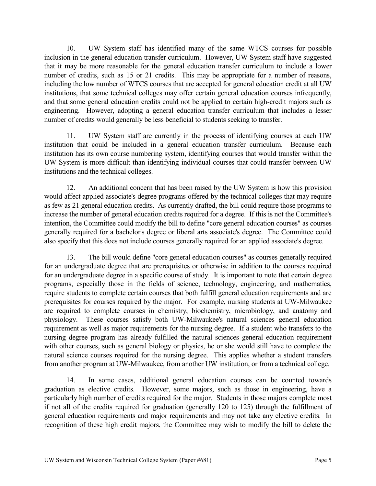10. UW System staff has identified many of the same WTCS courses for possible inclusion in the general education transfer curriculum. However, UW System staff have suggested that it may be more reasonable for the general education transfer curriculum to include a lower number of credits, such as 15 or 21 credits. This may be appropriate for a number of reasons, including the low number of WTCS courses that are accepted for general education credit at all UW institutions, that some technical colleges may offer certain general education courses infrequently, and that some general education credits could not be applied to certain high-credit majors such as engineering. However, adopting a general education transfer curriculum that includes a lesser number of credits would generally be less beneficial to students seeking to transfer.

11. UW System staff are currently in the process of identifying courses at each UW institution that could be included in a general education transfer curriculum. Because each institution has its own course numbering system, identifying courses that would transfer within the UW System is more difficult than identifying individual courses that could transfer between UW institutions and the technical colleges.

12. An additional concern that has been raised by the UW System is how this provision would affect applied associate's degree programs offered by the technical colleges that may require as few as 21 general education credits. As currently drafted, the bill could require those programs to increase the number of general education credits required for a degree. If this is not the Committee's intention, the Committee could modify the bill to define "core general education courses" as courses generally required for a bachelor's degree or liberal arts associate's degree. The Committee could also specify that this does not include courses generally required for an applied associate's degree.

13. The bill would define "core general education courses" as courses generally required for an undergraduate degree that are prerequisites or otherwise in addition to the courses required for an undergraduate degree in a specific course of study. It is important to note that certain degree programs, especially those in the fields of science, technology, engineering, and mathematics, require students to complete certain courses that both fulfill general education requirements and are prerequisites for courses required by the major. For example, nursing students at UW-Milwaukee are required to complete courses in chemistry, biochemistry, microbiology, and anatomy and physiology. These courses satisfy both UW-Milwaukee's natural sciences general education requirement as well as major requirements for the nursing degree. If a student who transfers to the nursing degree program has already fulfilled the natural sciences general education requirement with other courses, such as general biology or physics, he or she would still have to complete the natural science courses required for the nursing degree. This applies whether a student transfers from another program at UW-Milwaukee, from another UW institution, or from a technical college.

14. In some cases, additional general education courses can be counted towards graduation as elective credits. However, some majors, such as those in engineering, have a particularly high number of credits required for the major. Students in those majors complete most if not all of the credits required for graduation (generally 120 to 125) through the fulfillment of general education requirements and major requirements and may not take any elective credits. In recognition of these high credit majors, the Committee may wish to modify the bill to delete the